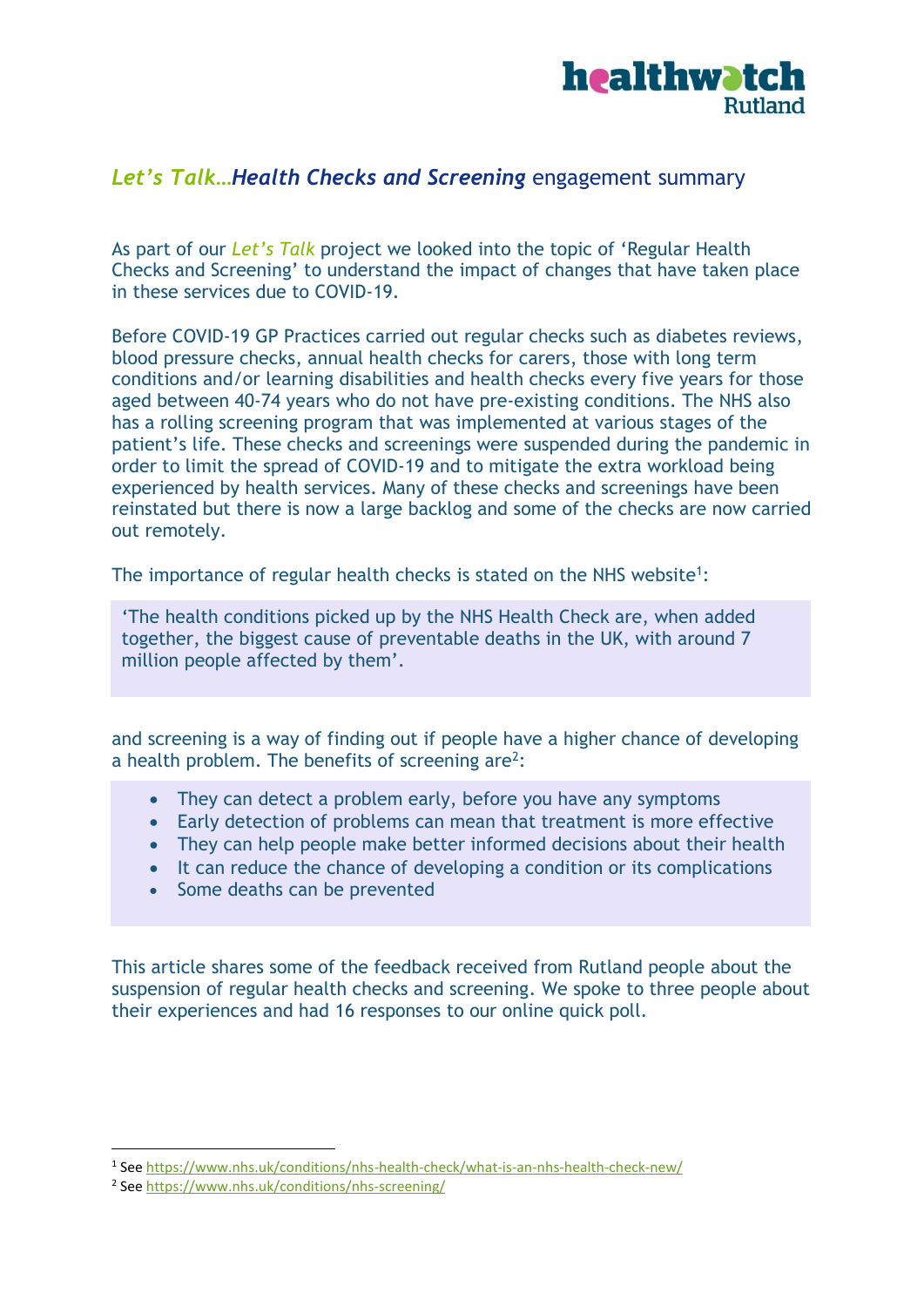

## *Let's Talk…Health Checks and Screening* engagement summary

As part of our *Let's Talk* project we looked into the topic of 'Regular Health Checks and Screening' to understand the impact of changes that have taken place in these services due to COVID-19.

Before COVID-19 GP Practices carried out regular checks such as diabetes reviews, blood pressure checks, annual health checks for carers, those with long term conditions and/or learning disabilities and health checks every five years for those aged between 40-74 years who do not have pre-existing conditions. The NHS also has a rolling screening program that was implemented at various stages of the patient's life. These checks and screenings were suspended during the pandemic in order to limit the spread of COVID-19 and to mitigate the extra workload being experienced by health services. Many of these checks and screenings have been reinstated but there is now a large backlog and some of the checks are now carried out remotely.

The importance of regular health checks is stated on the NHS website<sup>1</sup>:

'The health conditions picked up by the NHS Health Check are, when added together, the biggest cause of preventable deaths in the UK, with around 7 million people affected by them'.

and screening is a way of finding out if people have a higher chance of developing a health problem. The benefits of screening are<sup>2</sup>:

- They can detect a problem early, before you have any symptoms
- Early detection of problems can mean that treatment is more effective
- They can help people make better informed decisions about their health
- It can reduce the chance of developing a condition or its complications
- Some deaths can be prevented

This article shares some of the feedback received from Rutland people about the suspension of regular health checks and screening. We spoke to three people about their experiences and had 16 responses to our online quick poll.

<sup>&</sup>lt;sup>1</sup> See<https://www.nhs.uk/conditions/nhs-health-check/what-is-an-nhs-health-check-new/>

<sup>&</sup>lt;sup>2</sup> See<https://www.nhs.uk/conditions/nhs-screening/>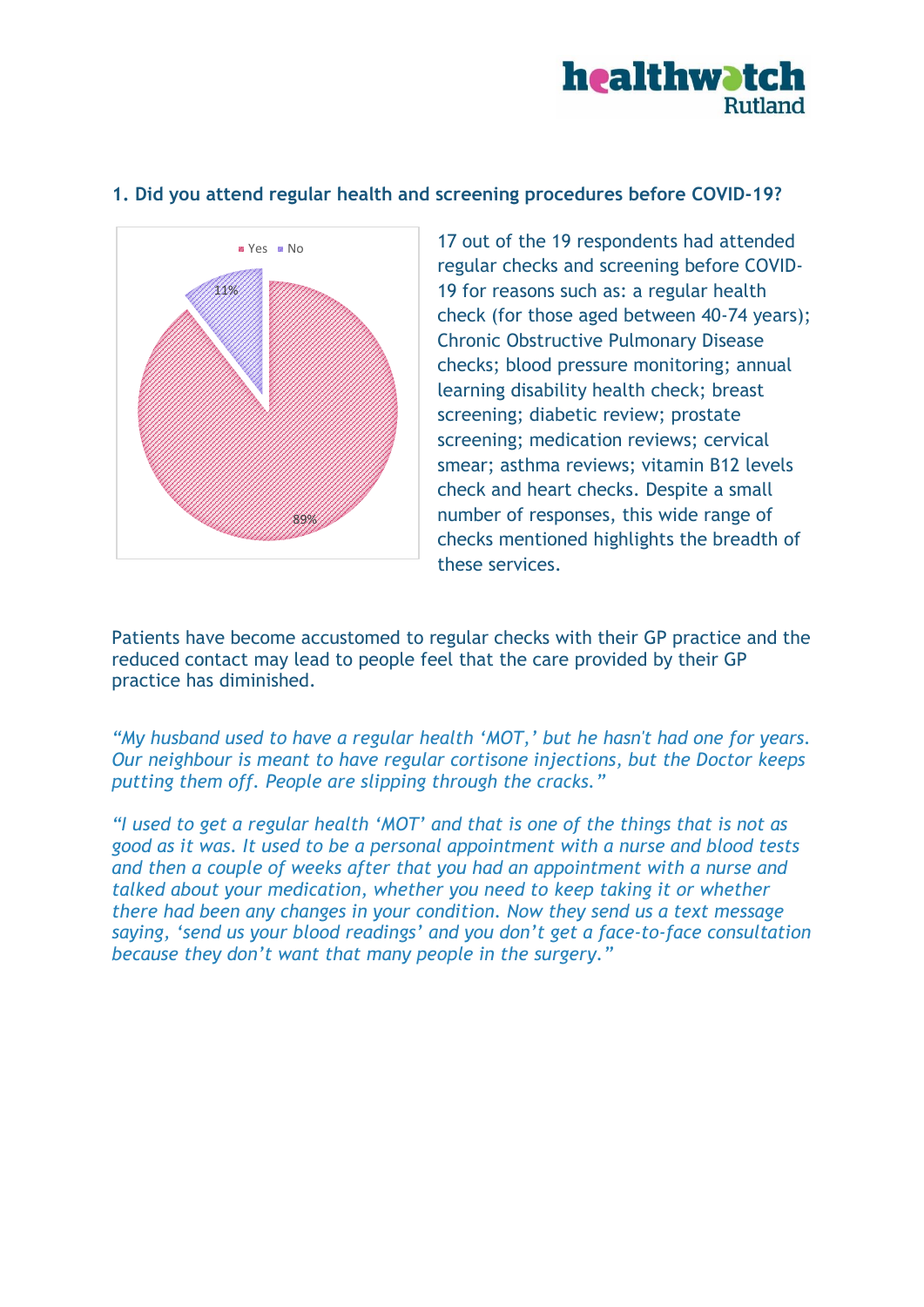

## **1. Did you attend regular health and screening procedures before COVID-19?**



17 out of the 19 respondents had attended regular checks and screening before COVID-19 for reasons such as: a regular health check (for those aged between 40-74 years); Chronic Obstructive Pulmonary Disease checks; blood pressure monitoring; annual learning disability health check; breast screening; diabetic review; prostate screening; medication reviews; cervical smear; asthma reviews; vitamin B12 levels check and heart checks. Despite a small number of responses, this wide range of checks mentioned highlights the breadth of these services.

Patients have become accustomed to regular checks with their GP practice and the reduced contact may lead to people feel that the care provided by their GP practice has diminished.

*"My husband used to have a regular health 'MOT,' but he hasn't had one for years. Our neighbour is meant to have regular cortisone injections, but the Doctor keeps putting them off. People are slipping through the cracks."*

*"I used to get a regular health 'MOT' and that is one of the things that is not as good as it was. It used to be a personal appointment with a nurse and blood tests and then a couple of weeks after that you had an appointment with a nurse and talked about your medication, whether you need to keep taking it or whether there had been any changes in your condition. Now they send us a text message saying, 'send us your blood readings' and you don't get a face-to-face consultation because they don't want that many people in the surgery."*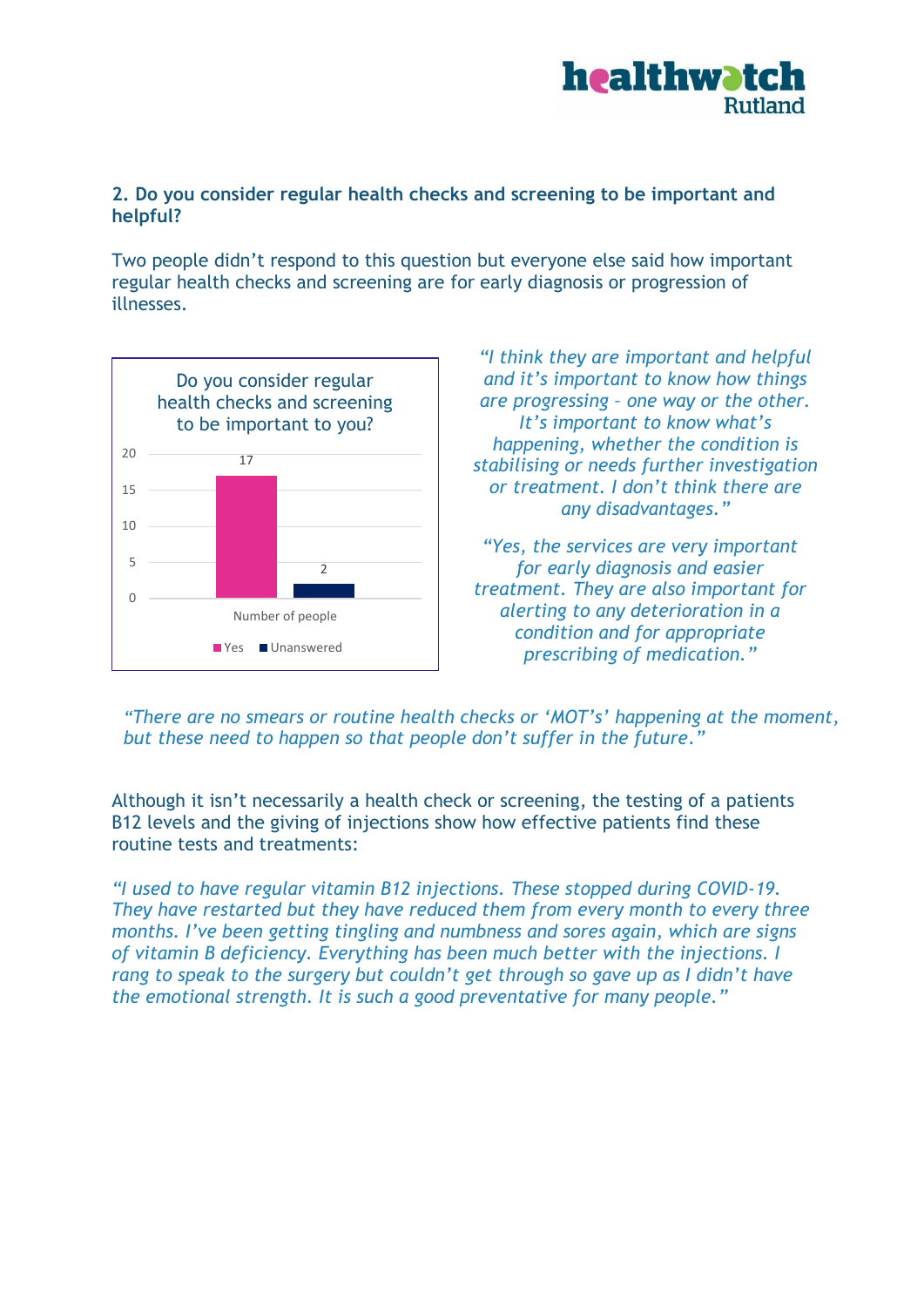

## **2. Do you consider regular health checks and screening to be important and helpful?**

Two people didn't respond to this question but everyone else said how important regular health checks and screening are for early diagnosis or progression of illnesses.



*"I think they are important and helpful and it's important to know how things are progressing – one way or the other. It's important to know what's happening, whether the condition is stabilising or needs further investigation or treatment. I don't think there are any disadvantages."*

*"Yes, the services are very important for early diagnosis and easier treatment. They are also important for alerting to any deterioration in a condition and for appropriate prescribing of medication."*

*"There are no smears or routine health checks or 'MOT's' happening at the moment, but these need to happen so that people don't suffer in the future."*

Although it isn't necessarily a health check or screening, the testing of a patients B12 levels and the giving of injections show how effective patients find these routine tests and treatments:

*"I used to have regular vitamin B12 injections. These stopped during COVID-19. They have restarted but they have reduced them from every month to every three months. I've been getting tingling and numbness and sores again, which are signs of vitamin B deficiency. Everything has been much better with the injections. I rang to speak to the surgery but couldn't get through so gave up as I didn't have the emotional strength. It is such a good preventative for many people."*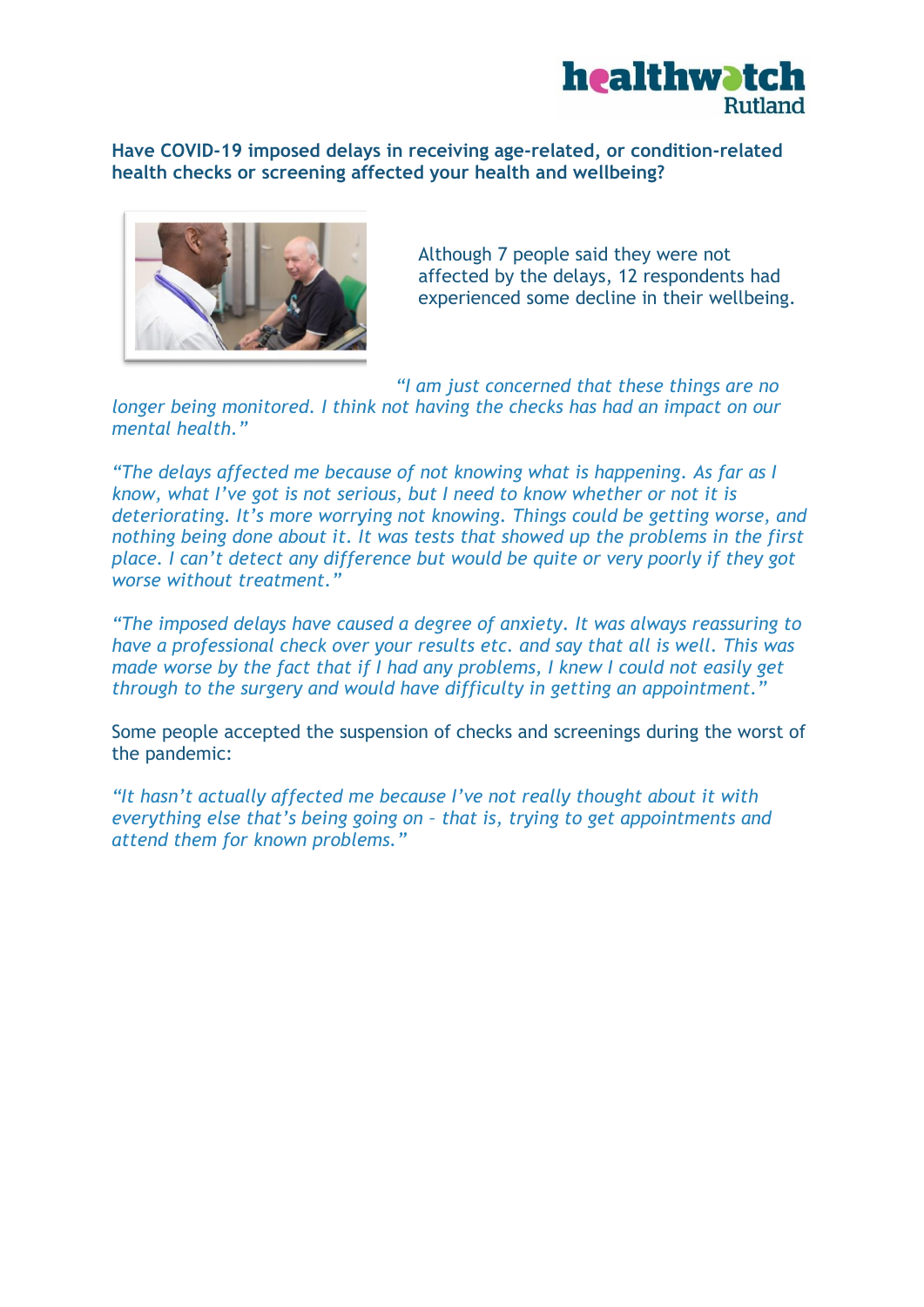

**Have COVID-19 imposed delays in receiving age-related, or condition-related health checks or screening affected your health and wellbeing?**



Although 7 people said they were not affected by the delays, 12 respondents had experienced some decline in their wellbeing.

*"I am just concerned that these things are no longer being monitored. I think not having the checks has had an impact on our mental health."*

*"The delays affected me because of not knowing what is happening. As far as I know, what I've got is not serious, but I need to know whether or not it is deteriorating. It's more worrying not knowing. Things could be getting worse, and nothing being done about it. It was tests that showed up the problems in the first place. I can't detect any difference but would be quite or very poorly if they got worse without treatment."*

*"The imposed delays have caused a degree of anxiety. It was always reassuring to have a professional check over your results etc. and say that all is well. This was made worse by the fact that if I had any problems, I knew I could not easily get through to the surgery and would have difficulty in getting an appointment."*

Some people accepted the suspension of checks and screenings during the worst of the pandemic:

*"It hasn't actually affected me because I've not really thought about it with everything else that's being going on – that is, trying to get appointments and attend them for known problems."*